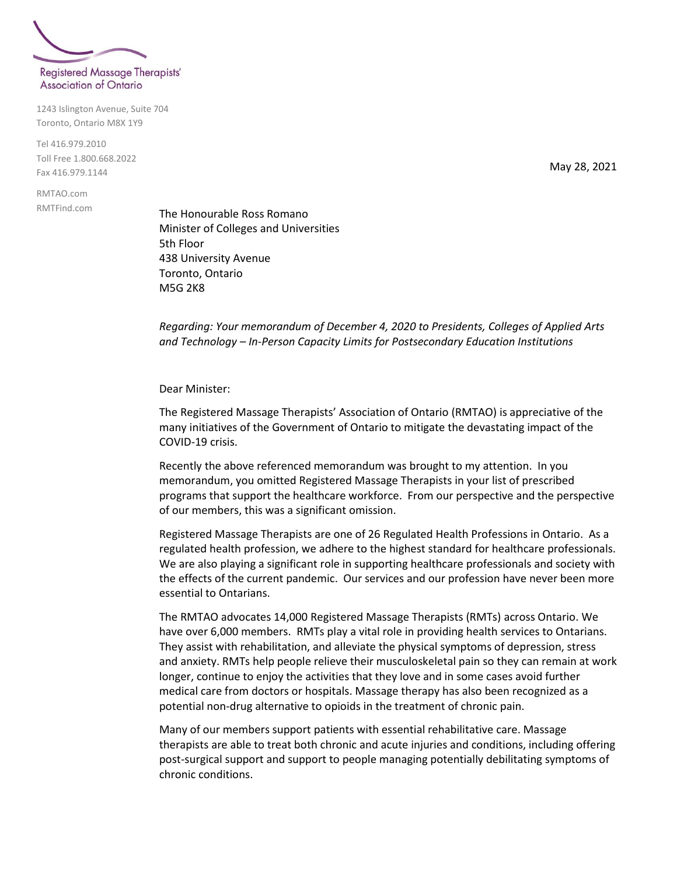

1243 Islington Avenue, Suite 704 Toronto, Ontario M8X 1Y9

Tel 416.979.2010 Toll Free 1.800.668.2022 Fax 416.979.1144

RMTAO.com RMTFind.com May 28, 2021

The Honourable Ross Romano Minister of Colleges and Universities 5th Floor 438 University Avenue Toronto, Ontario M5G 2K8

*Regarding: Your memorandum of December 4, 2020 to Presidents, Colleges of Applied Arts and Technology – In-Person Capacity Limits for Postsecondary Education Institutions*

Dear Minister:

The Registered Massage Therapists' Association of Ontario (RMTAO) is appreciative of the many initiatives of the Government of Ontario to mitigate the devastating impact of the COVID-19 crisis.

Recently the above referenced memorandum was brought to my attention. In you memorandum, you omitted Registered Massage Therapists in your list of prescribed programs that support the healthcare workforce. From our perspective and the perspective of our members, this was a significant omission.

Registered Massage Therapists are one of 26 Regulated Health Professions in Ontario. As a regulated health profession, we adhere to the highest standard for healthcare professionals. We are also playing a significant role in supporting healthcare professionals and society with the effects of the current pandemic. Our services and our profession have never been more essential to Ontarians.

The RMTAO advocates 14,000 Registered Massage Therapists (RMTs) across Ontario. We have over 6,000 members. RMTs play a vital role in providing health services to Ontarians. They assist with rehabilitation, and alleviate the physical symptoms of depression, stress and anxiety. RMTs help people relieve their musculoskeletal pain so they can remain at work longer, continue to enjoy the activities that they love and in some cases avoid further medical care from doctors or hospitals. Massage therapy has also been recognized as a potential non-drug alternative to opioids in the treatment of chronic pain.

Many of our members support patients with essential rehabilitative care. Massage therapists are able to treat both chronic and acute injuries and conditions, including offering post-surgical support and support to people managing potentially debilitating symptoms of chronic conditions.